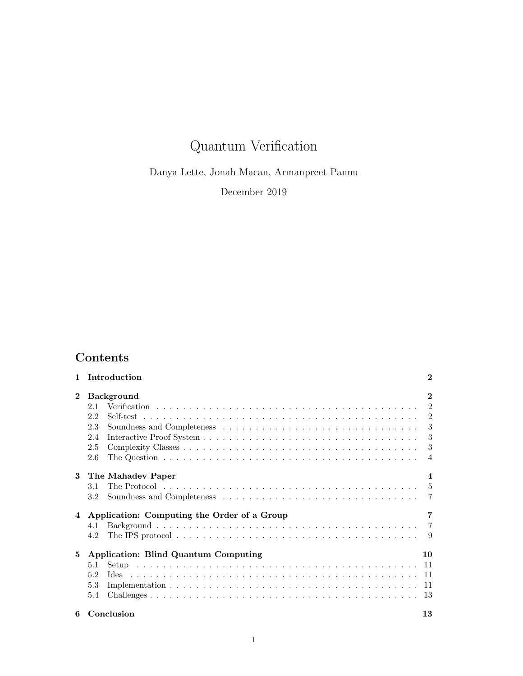# Quantum Verification

Danya Lette, Jonah Macan, Armanpreet Pannu

December 2019

## Contents

|              | Introduction                                                     | $\bf{2}$                                                             |
|--------------|------------------------------------------------------------------|----------------------------------------------------------------------|
| $\mathbf{2}$ | <b>Background</b><br>2.1<br>2.2<br>2.3<br>2.4<br>2.5<br>2.6      | $\mathbf{2}$<br>2<br>$\overline{2}$<br>3<br>3<br>3<br>$\overline{4}$ |
| 3            | The Mahadev Paper<br>3.1<br>3.2                                  | $\boldsymbol{4}$<br>- 5                                              |
| 4            | Application: Computing the Order of a Group<br>4.1<br>4.2        | 7                                                                    |
| 5            | Application: Blind Quantum Computing<br>5.1<br>5.2<br>5.3<br>5.4 | 10<br>-11<br>-11                                                     |
| 6            | Conclusion                                                       | 13                                                                   |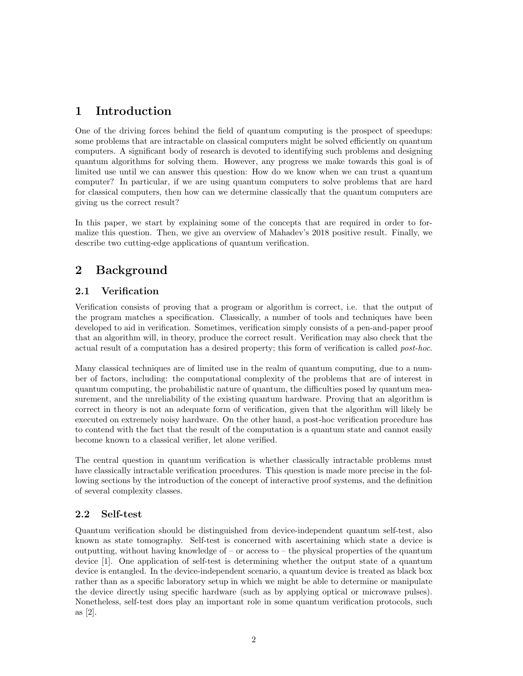## <span id="page-1-0"></span>1 Introduction

One of the driving forces behind the field of quantum computing is the prospect of speedups: some problems that are intractable on classical computers might be solved efficiently on quantum computers. A significant body of research is devoted to identifying such problems and designing quantum algorithms for solving them. However, any progress we make towards this goal is of limited use until we can answer this question: How do we know when we can trust a quantum computer? In particular, if we are using quantum computers to solve problems that are hard for classical computers, then how can we determine classically that the quantum computers are giving us the correct result?

In this paper, we start by explaining some of the concepts that are required in order to formalize this question. Then, we give an overview of Mahadev's 2018 positive result. Finally, we describe two cutting-edge applications of quantum verification.

## <span id="page-1-1"></span>2 Background

## <span id="page-1-2"></span>2.1 Verification

Verification consists of proving that a program or algorithm is correct, i.e. that the output of the program matches a specification. Classically, a number of tools and techniques have been developed to aid in verification. Sometimes, verification simply consists of a pen-and-paper proof that an algorithm will, in theory, produce the correct result. Verification may also check that the actual result of a computation has a desired property; this form of verification is called post-hoc.

Many classical techniques are of limited use in the realm of quantum computing, due to a number of factors, including: the computational complexity of the problems that are of interest in quantum computing, the probabilistic nature of quantum, the difficulties posed by quantum measurement, and the unreliability of the existing quantum hardware. Proving that an algorithm is correct in theory is not an adequate form of verification, given that the algorithm will likely be executed on extremely noisy hardware. On the other hand, a post-hoc verification procedure has to contend with the fact that the result of the computation is a quantum state and cannot easily become known to a classical verifier, let alone verified.

The central question in quantum verification is whether classically intractable problems must have classically intractable verification procedures. This question is made more precise in the following sections by the introduction of the concept of interactive proof systems, and the definition of several complexity classes.

## <span id="page-1-3"></span>2.2 Self-test

Quantum verification should be distinguished from device-independent quantum self-test, also known as state tomography. Self-test is concerned with ascertaining which state a device is outputting, without having knowledge of – or access to – the physical properties of the quantum device [\[1\]](#page-12-2). One application of self-test is determining whether the output state of a quantum device is entangled. In the device-independent scenario, a quantum device is treated as black box rather than as a specific laboratory setup in which we might be able to determine or manipulate the device directly using specific hardware (such as by applying optical or microwave pulses). Nonetheless, self-test does play an important role in some quantum verification protocols, such as [\[2\]](#page-13-0).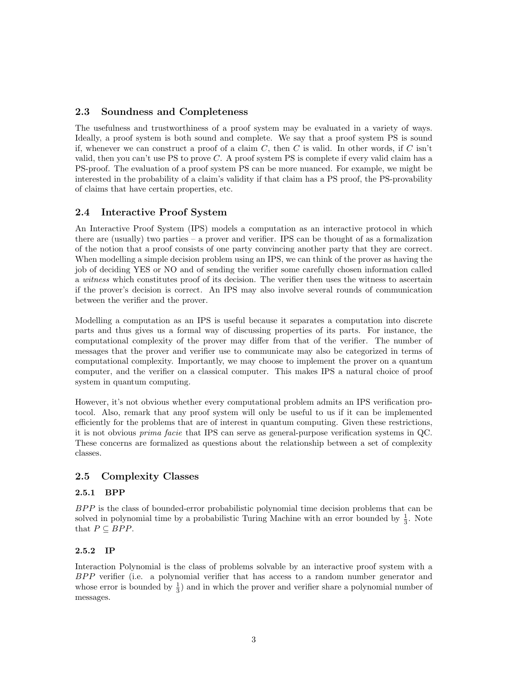#### <span id="page-2-0"></span>2.3 Soundness and Completeness

The usefulness and trustworthiness of a proof system may be evaluated in a variety of ways. Ideally, a proof system is both sound and complete. We say that a proof system PS is sound if, whenever we can construct a proof of a claim C, then C is valid. In other words, if C isn't valid, then you can't use PS to prove  $C$ . A proof system PS is complete if every valid claim has a PS-proof. The evaluation of a proof system PS can be more nuanced. For example, we might be interested in the probability of a claim's validity if that claim has a PS proof, the PS-provability of claims that have certain properties, etc.

### <span id="page-2-1"></span>2.4 Interactive Proof System

An Interactive Proof System (IPS) models a computation as an interactive protocol in which there are (usually) two parties – a prover and verifier. IPS can be thought of as a formalization of the notion that a proof consists of one party convincing another party that they are correct. When modelling a simple decision problem using an IPS, we can think of the prover as having the job of deciding YES or NO and of sending the verifier some carefully chosen information called a witness which constitutes proof of its decision. The verifier then uses the witness to ascertain if the prover's decision is correct. An IPS may also involve several rounds of communication between the verifier and the prover.

Modelling a computation as an IPS is useful because it separates a computation into discrete parts and thus gives us a formal way of discussing properties of its parts. For instance, the computational complexity of the prover may differ from that of the verifier. The number of messages that the prover and verifier use to communicate may also be categorized in terms of computational complexity. Importantly, we may choose to implement the prover on a quantum computer, and the verifier on a classical computer. This makes IPS a natural choice of proof system in quantum computing.

However, it's not obvious whether every computational problem admits an IPS verification protocol. Also, remark that any proof system will only be useful to us if it can be implemented efficiently for the problems that are of interest in quantum computing. Given these restrictions, it is not obvious prima facie that IPS can serve as general-purpose verification systems in QC. These concerns are formalized as questions about the relationship between a set of complexity classes.

#### <span id="page-2-2"></span>2.5 Complexity Classes

#### 2.5.1 BPP

BPP is the class of bounded-error probabilistic polynomial time decision problems that can be solved in polynomial time by a probabilistic Turing Machine with an error bounded by  $\frac{1}{3}$ . Note that  $P \subseteq BPP$ .

#### 2.5.2 IP

Interaction Polynomial is the class of problems solvable by an interactive proof system with a BPP verifier (i.e. a polynomial verifier that has access to a random number generator and whose error is bounded by  $\frac{1}{3}$  and in which the prover and verifier share a polynomial number of messages.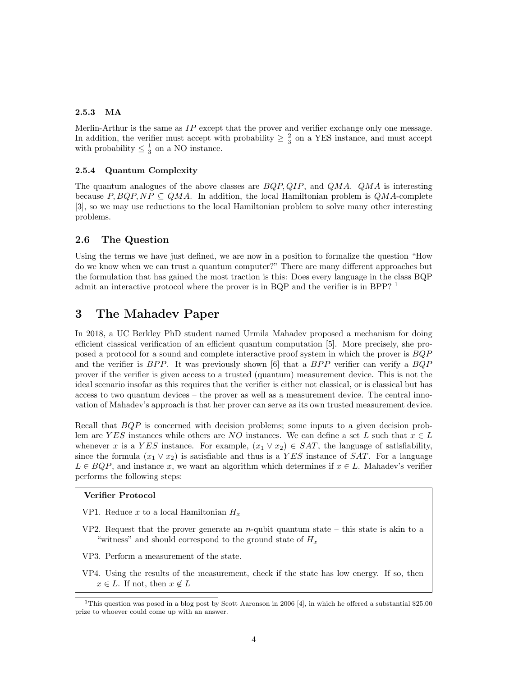#### 2.5.3 MA

Merlin-Arthur is the same as  $IP$  except that the prover and verifier exchange only one message. In addition, the verifier must accept with probability  $\geq \frac{2}{3}$  on a YES instance, and must accept with probability  $\leq \frac{1}{3}$  on a NO instance.

#### 2.5.4 Quantum Complexity

The quantum analogues of the above classes are  $BQP, QIP$ , and  $QMA$ .  $QMA$  is interesting because  $P, BQP, NP \subseteq QMA$ . In addition, the local Hamiltonian problem is  $QMA$ -complete [\[3\]](#page-13-1), so we may use reductions to the local Hamiltonian problem to solve many other interesting problems.

#### <span id="page-3-0"></span>2.6 The Question

Using the terms we have just defined, we are now in a position to formalize the question "How do we know when we can trust a quantum computer?" There are many different approaches but the formulation that has gained the most traction is this: Does every language in the class BQP admit an interactive protocol where the prover is in BQP and the verifier is in BPP?  $<sup>1</sup>$  $<sup>1</sup>$  $<sup>1</sup>$ </sup>

## <span id="page-3-1"></span>3 The Mahadev Paper

In 2018, a UC Berkley PhD student named Urmila Mahadev proposed a mechanism for doing efficient classical verification of an efficient quantum computation [\[5\]](#page-13-2). More precisely, she proposed a protocol for a sound and complete interactive proof system in which the prover is BQP and the verifier is  $BPP$ . It was previously shown [\[6\]](#page-13-3) that a  $BPP$  verifier can verify a  $BQP$ prover if the verifier is given access to a trusted (quantum) measurement device. This is not the ideal scenario insofar as this requires that the verifier is either not classical, or is classical but has access to two quantum devices – the prover as well as a measurement device. The central innovation of Mahadev's approach is that her prover can serve as its own trusted measurement device.

Recall that BQP is concerned with decision problems; some inputs to a given decision problem are YES instances while others are NO instances. We can define a set L such that  $x \in L$ whenever x is a YES instance. For example,  $(x_1 \vee x_2) \in SAT$ , the language of satisfiability, since the formula  $(x_1 \vee x_2)$  is satisfiable and thus is a YES instance of SAT. For a language  $L \in BQP$ , and instance x, we want an algorithm which determines if  $x \in L$ . Mahadev's verifier performs the following steps:

#### Verifier Protocol

- VP1. Reduce x to a local Hamiltonian  $H_x$
- VP2. Request that the prover generate an  $n$ -qubit quantum state this state is akin to a "witness" and should correspond to the ground state of  $H_x$
- VP3. Perform a measurement of the state.
- VP4. Using the results of the measurement, check if the state has low energy. If so, then  $x \in L$ . If not, then  $x \notin L$

<span id="page-3-2"></span><sup>&</sup>lt;sup>1</sup>This question was posed in a blog post by Scott Aaronson in 2006 [\[4\]](#page-13-4), in which he offered a substantial \$25.00 prize to whoever could come up with an answer.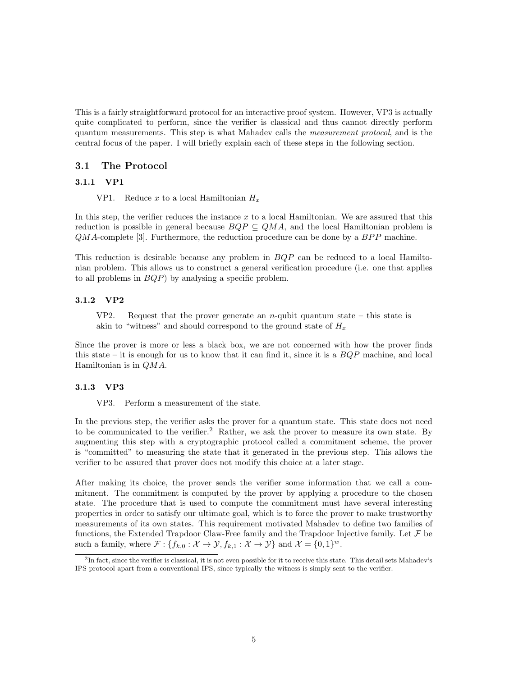This is a fairly straightforward protocol for an interactive proof system. However, VP3 is actually quite complicated to perform, since the verifier is classical and thus cannot directly perform quantum measurements. This step is what Mahadev calls the measurement protocol, and is the central focus of the paper. I will briefly explain each of these steps in the following section.

#### <span id="page-4-0"></span>3.1 The Protocol

#### 3.1.1 VP1

VP1. Reduce x to a local Hamiltonian  $H_x$ 

In this step, the verifier reduces the instance  $x$  to a local Hamiltonian. We are assured that this reduction is possible in general because  $BQP \subseteq QMA$ , and the local Hamiltonian problem is  $QMA$ -complete [\[3\]](#page-13-1). Furthermore, the reduction procedure can be done by a  $BPP$  machine.

This reduction is desirable because any problem in  $BQP$  can be reduced to a local Hamiltonian problem. This allows us to construct a general verification procedure (i.e. one that applies to all problems in  $BQP$ ) by analysing a specific problem.

#### 3.1.2 VP2

VP2. Request that the prover generate an  $n$ -qubit quantum state – this state is akin to "witness" and should correspond to the ground state of  $H_x$ 

Since the prover is more or less a black box, we are not concerned with how the prover finds this state – it is enough for us to know that it can find it, since it is a  $BQP$  machine, and local Hamiltonian is in QMA.

#### 3.1.3 VP3

VP3. Perform a measurement of the state.

In the previous step, the verifier asks the prover for a quantum state. This state does not need to be communicated to the verifier.<sup>[2](#page-4-1)</sup> Rather, we ask the prover to measure its own state. By augmenting this step with a cryptographic protocol called a commitment scheme, the prover is "committed" to measuring the state that it generated in the previous step. This allows the verifier to be assured that prover does not modify this choice at a later stage.

After making its choice, the prover sends the verifier some information that we call a commitment. The commitment is computed by the prover by applying a procedure to the chosen state. The procedure that is used to compute the commitment must have several interesting properties in order to satisfy our ultimate goal, which is to force the prover to make trustworthy measurements of its own states. This requirement motivated Mahadev to define two families of functions, the Extended Trapdoor Claw-Free family and the Trapdoor Injective family. Let  $\mathcal F$  be such a family, where  $\mathcal{F}: \{f_{k,0} : \mathcal{X} \to \mathcal{Y}, f_{k,1} : \mathcal{X} \to \mathcal{Y}\}\$ and  $\mathcal{X} = \{0,1\}^w$ .

<span id="page-4-1"></span> ${}^{2}$ In fact, since the verifier is classical, it is not even possible for it to receive this state. This detail sets Mahadev's IPS protocol apart from a conventional IPS, since typically the witness is simply sent to the verifier.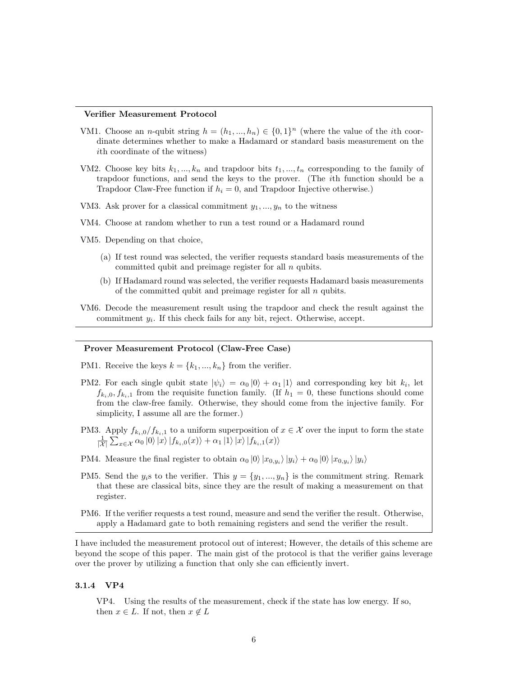#### Verifier Measurement Protocol

- VM1. Choose an *n*-qubit string  $h = (h_1, ..., h_n) \in \{0, 1\}^n$  (where the value of the *i*th coordinate determines whether to make a Hadamard or standard basis measurement on the ith coordinate of the witness)
- VM2. Choose key bits  $k_1, ..., k_n$  and trapdoor bits  $t_1, ..., t_n$  corresponding to the family of trapdoor functions, and send the keys to the prover. (The ith function should be a Trapdoor Claw-Free function if  $h_i = 0$ , and Trapdoor Injective otherwise.)
- VM3. Ask prover for a classical commitment  $y_1, ..., y_n$  to the witness
- VM4. Choose at random whether to run a test round or a Hadamard round

VM5. Depending on that choice,

- (a) If test round was selected, the verifier requests standard basis measurements of the committed qubit and preimage register for all  $n$  qubits.
- (b) If Hadamard round was selected, the verifier requests Hadamard basis measurements of the committed qubit and preimage register for all  $n$  qubits.
- VM6. Decode the measurement result using the trapdoor and check the result against the commitment  $y_i$ . If this check fails for any bit, reject. Otherwise, accept.

#### Prover Measurement Protocol (Claw-Free Case)

- PM1. Receive the keys  $k = \{k_1, ..., k_n\}$  from the verifier.
- PM2. For each single qubit state  $|\psi_i\rangle = \alpha_0 |0\rangle + \alpha_1 |1\rangle$  and corresponding key bit  $k_i$ , let  $f_{k_i,0}, f_{k_i,1}$  from the requisite function family. (If  $h_1 = 0$ , these functions should come from the claw-free family. Otherwise, they should come from the injective family. For simplicity, I assume all are the former.)
- PM3. Apply  $f_{k_i,0}/f_{k_i,1}$  to a uniform superposition of  $x \in \mathcal{X}$  over the input to form the state  $\frac{1}{|X|}\sum_{x\in\mathcal{X}}\alpha_0\ket{0}\ket{x}\ket{f_{k_i,0}(x)}+\alpha_1\ket{1}\ket{x}\ket{f_{k_i,1}(x)}$
- PM4. Measure the final register to obtain  $\alpha_0 |0\rangle |x_{0,y_i}\rangle |y_i\rangle + \alpha_0 |0\rangle |x_{0,y_i}\rangle |y_i\rangle$
- PM5. Send the  $y_i$ s to the verifier. This  $y = \{y_1, ..., y_n\}$  is the commitment string. Remark that these are classical bits, since they are the result of making a measurement on that register.
- PM6. If the verifier requests a test round, measure and send the verifier the result. Otherwise, apply a Hadamard gate to both remaining registers and send the verifier the result.

I have included the measurement protocol out of interest; However, the details of this scheme are beyond the scope of this paper. The main gist of the protocol is that the verifier gains leverage over the prover by utilizing a function that only she can efficiently invert.

#### 3.1.4 VP4

VP4. Using the results of the measurement, check if the state has low energy. If so, then  $x \in L$ . If not, then  $x \notin L$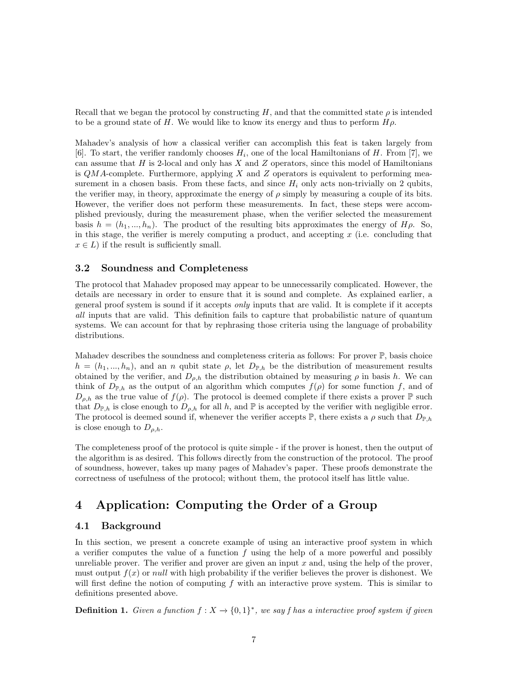Recall that we began the protocol by constructing H, and that the committed state  $\rho$  is intended to be a ground state of H. We would like to know its energy and thus to perform  $H\rho$ .

Mahadev's analysis of how a classical verifier can accomplish this feat is taken largely from [\[6\]](#page-13-3). To start, the verifier randomly chooses  $H_i$ , one of the local Hamiltonians of H. From [\[7\]](#page-13-5), we can assume that  $H$  is 2-local and only has  $X$  and  $Z$  operators, since this model of Hamiltonians is  $QMA$ -complete. Furthermore, applying X and Z operators is equivalent to performing measurement in a chosen basis. From these facts, and since  $H_i$  only acts non-trivially on 2 qubits, the verifier may, in theory, approximate the energy of  $\rho$  simply by measuring a couple of its bits. However, the verifier does not perform these measurements. In fact, these steps were accomplished previously, during the measurement phase, when the verifier selected the measurement basis  $h = (h_1, ..., h_n)$ . The product of the resulting bits approximates the energy of  $H\rho$ . So, in this stage, the verifier is merely computing a product, and accepting  $x$  (i.e. concluding that  $x \in L$ ) if the result is sufficiently small.

#### <span id="page-6-0"></span>3.2 Soundness and Completeness

The protocol that Mahadev proposed may appear to be unnecessarily complicated. However, the details are necessary in order to ensure that it is sound and complete. As explained earlier, a general proof system is sound if it accepts only inputs that are valid. It is complete if it accepts all inputs that are valid. This definition fails to capture that probabilistic nature of quantum systems. We can account for that by rephrasing those criteria using the language of probability distributions.

Mahadev describes the soundness and completeness criteria as follows: For prover  $\mathbb{P}$ , basis choice  $h = (h_1, ..., h_n)$ , and an n qubit state  $\rho$ , let  $D_{\mathbb{P},h}$  be the distribution of measurement results obtained by the verifier, and  $D_{\rho,h}$  the distribution obtained by measuring  $\rho$  in basis h. We can think of  $D_{\mathbb{P},h}$  as the output of an algorithm which computes  $f(\rho)$  for some function f, and of  $D_{\rho,h}$  as the true value of  $f(\rho)$ . The protocol is deemed complete if there exists a prover  $\mathbb P$  such that  $D_{\mathbb{P},h}$  is close enough to  $D_{\rho,h}$  for all h, and  $\mathbb P$  is accepted by the verifier with negligible error. The protocol is deemed sound if, whenever the verifier accepts  $\mathbb{P}$ , there exists a  $\rho$  such that  $D_{\mathbb{P},h}$ is close enough to  $D_{\rho,h}$ .

The completeness proof of the protocol is quite simple - if the prover is honest, then the output of the algorithm is as desired. This follows directly from the construction of the protocol. The proof of soundness, however, takes up many pages of Mahadev's paper. These proofs demonstrate the correctness of usefulness of the protocol; without them, the protocol itself has little value.

## <span id="page-6-1"></span>4 Application: Computing the Order of a Group

#### <span id="page-6-2"></span>4.1 Background

In this section, we present a concrete example of using an interactive proof system in which a verifier computes the value of a function  $f$  using the help of a more powerful and possibly unreliable prover. The verifier and prover are given an input  $x$  and, using the help of the prover, must output  $f(x)$  or *null* with high probability if the verifier believes the prover is dishonest. We will first define the notion of computing f with an interactive prove system. This is similar to definitions presented above.

**Definition 1.** Given a function  $f: X \to \{0,1\}^*$ , we say f has a interactive proof system if given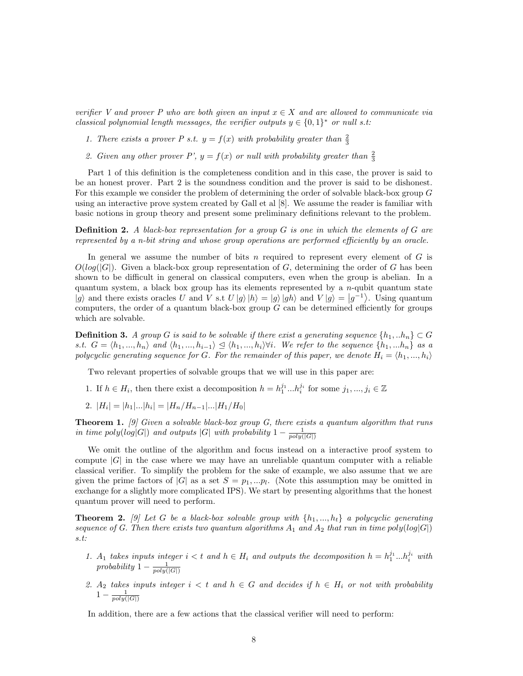verifier V and prover P who are both given an input  $x \in X$  and are allowed to communicate via classical polynomial length messages, the verifier outputs  $y \in \{0,1\}^*$  or null s.t:

- 1. There exists a prover P s.t.  $y = f(x)$  with probability greater than  $\frac{2}{3}$
- 2. Given any other prover P',  $y = f(x)$  or null with probability greater than  $\frac{2}{3}$

Part 1 of this definition is the completeness condition and in this case, the prover is said to be an honest prover. Part 2 is the soundness condition and the prover is said to be dishonest. For this example we consider the problem of determining the order of solvable black-box group G using an interactive prove system created by Gall et al [\[8\]](#page-13-6). We assume the reader is familiar with basic notions in group theory and present some preliminary definitions relevant to the problem.

**Definition 2.** A black-box representation for a group  $G$  is one in which the elements of  $G$  are represented by a n-bit string and whose group operations are performed efficiently by an oracle.

In general we assume the number of bits  $n$  required to represent every element of  $G$  is  $O(log(|G|)$ . Given a black-box group representation of G, determining the order of G has been shown to be difficult in general on classical computers, even when the group is abelian. In a quantum system, a black box group has its elements represented by a  $n$ -qubit quantum state  $|g\rangle$  and there exists oracles U and V s.t  $U|g\rangle|h\rangle = |g\rangle|gh\rangle$  and  $V|g\rangle = |g^{-1}\rangle$ . Using quantum computers, the order of a quantum black-box group  $G$  can be determined efficiently for groups which are solvable.

**Definition 3.** A group G is said to be solvable if there exist a generating sequence  $\{h_1, . . h_n\} \subset G$ s.t.  $G = \langle h_1, ..., h_n \rangle$  and  $\langle h_1, ..., h_{i-1} \rangle \subseteq \langle h_1, ..., h_i \rangle \forall i$ . We refer to the sequence  $\{h_1, ..., h_n\}$  as a polycyclic generating sequence for G. For the remainder of this paper, we denote  $H_i = \langle h_1, ..., h_i \rangle$ 

Two relevant properties of solvable groups that we will use in this paper are:

- 1. If  $h \in H_i$ , then there exist a decomposition  $h = h_1^{j_1} ... h_i^{j_i}$  for some  $j_1, ..., j_i \in \mathbb{Z}$
- 2.  $|H_i| = |h_1|...|h_i| = |H_n/H_{n-1}|...|H_1/H_0|$

**Theorem 1.** [\[9\]](#page-13-7) Given a solvable black-box group  $G$ , there exists a quantum algorithm that runs in time poly $(log|G|)$  and outputs |G| with probability  $1 - \frac{1}{poly(|G|)}$ 

We omit the outline of the algorithm and focus instead on a interactive proof system to compute  $|G|$  in the case where we may have an unreliable quantum computer with a reliable classical verifier. To simplify the problem for the sake of example, we also assume that we are given the prime factors of |G| as a set  $S = p_1,...p_l$ . (Note this assumption may be omitted in exchange for a slightly more complicated IPS). We start by presenting algorithms that the honest quantum prover will need to perform.

**Theorem 2.** [\[9\]](#page-13-7) Let G be a black-box solvable group with  $\{h_1, ..., h_t\}$  a polycyclic generating sequence of G. Then there exists two quantum algorithms  $A_1$  and  $A_2$  that run in time poly $(log|G|)$ s.t:

- 1. A<sub>1</sub> takes inputs integer  $i < t$  and  $h \in H_i$  and outputs the decomposition  $h = h_1^{j_1} ... h_i^{j_i}$  with probability  $1 - \frac{1}{poly(|G|)}$
- 2.  $A_2$  takes inputs integer  $i < t$  and  $h \in G$  and decides if  $h \in H_i$  or not with probability  $1-\frac{1}{poly(|G|)}$

In addition, there are a few actions that the classical verifier will need to perform: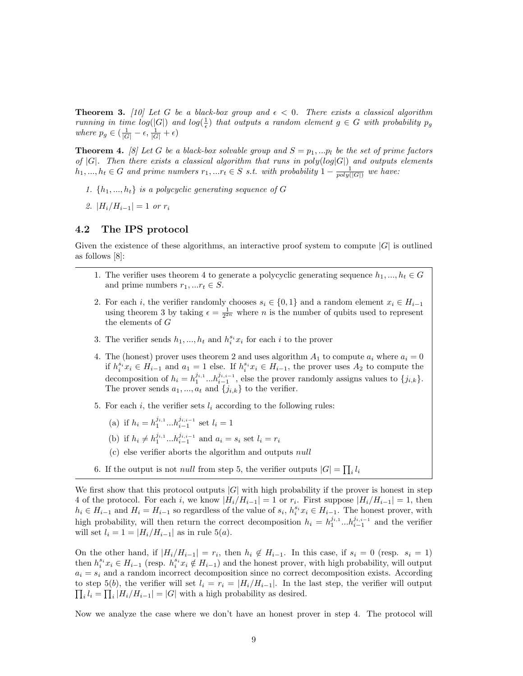**Theorem 3.** [\[10\]](#page-13-8) Let G be a black-box group and  $\epsilon < 0$ . There exists a classical algorithm running in time  $log(|G|)$  and  $log(\frac{1}{\epsilon})$  that outputs a random element  $g \in G$  with probability  $p_g$ where  $p_g \in \left(\frac{1}{|G|} - \epsilon, \frac{1}{|G|} + \epsilon\right)$ 

**Theorem 4.** [\[8\]](#page-13-6) Let G be a black-box solvable group and  $S = p_1, ..., p_l$  be the set of prime factors of  $|G|$ . Then there exists a classical algorithm that runs in  $poly(log|G|)$  and outputs elements  $h_1, ..., h_t \in G$  and prime numbers  $r_1, ... r_t \in S$  s.t. with probability  $1 - \frac{1}{poly(|G|)}$  we have:

- 1.  $\{h_1, ..., h_t\}$  is a polycyclic generating sequence of G
- 2.  $|H_i/H_{i-1}| = 1$  or  $r_i$

#### <span id="page-8-0"></span>4.2 The IPS protocol

Given the existence of these algorithms, an interactive proof system to compute  $|G|$  is outlined as follows [\[8\]](#page-13-6):

- 1. The verifier uses theorem 4 to generate a polycyclic generating sequence  $h_1, ..., h_t \in G$ and prime numbers  $r_1, ... r_t \in S$ .
- 2. For each i, the verifier randomly chooses  $s_i \in \{0,1\}$  and a random element  $x_i \in H_{i-1}$ using theorem 3 by taking  $\epsilon = \frac{1}{2^{2n}}$  where *n* is the number of qubits used to represent the elements of G
- 3. The verifier sends  $h_1, ..., h_t$  and  $h_i^{s_i} x_i$  for each i to the prover
- 4. The (honest) prover uses theorem 2 and uses algorithm  $A_1$  to compute  $a_i$  where  $a_i = 0$ if  $h_i^{s_i}x_i \in H_{i-1}$  and  $a_1 = 1$  else. If  $h_i^{s_i}x_i \in H_{i-1}$ , the prover uses  $A_2$  to compute the decomposition of  $h_i = h_1^{j_{i,1}}...h_{i-1}^{j_{i,i-1}}$ , else the prover randomly assigns values to  $\{j_{i,k}\}.$ The prover sends  $a_1, ..., a_t$  and  $\{j_{i,k}\}\)$  to the verifier.
- 5. For each i, the verifier sets  $l_i$  according to the following rules:
	- (a) if  $h_i = h_1^{j_{i,1}} ... h_{i-1}^{j_{i,i-1}}$  set  $l_i = 1$
	- (b) if  $h_i \neq h_1^{j_{i,1}} ... h_{i-1}^{j_{i,i-1}}$  and  $a_i = s_i$  set  $l_i = r_i$
	- (c) else verifier aborts the algorithm and outputs null
- 6. If the output is not *null* from step 5, the verifier outputs  $|G| = \prod_i l_i$

We first show that this protocol outputs  $|G|$  with high probability if the prover is honest in step 4 of the protocol. For each i, we know  $|H_i/H_{i-1}| = 1$  or  $r_i$ . First suppose  $|H_i/H_{i-1}| = 1$ , then  $h_i \in H_{i-1}$  and  $H_i = H_{i-1}$  so regardless of the value of  $s_i, h_i^{s_i} x_i \in H_{i-1}$ . The honest prover, with high probability, will then return the correct decomposition  $h_i = h_1^{j_{i,1}}...h_{i-1}^{j_{i,i-1}}$  and the verifier will set  $l_i = 1 = |H_i/H_{i-1}|$  as in rule 5(*a*).

On the other hand, if  $|H_i/H_{i-1}| = r_i$ , then  $h_i \notin H_{i-1}$ . In this case, if  $s_i = 0$  (resp.  $s_i = 1$ ) then  $h_i^{s_i}x_i \in H_{i-1}$  (resp.  $h_i^{s_i}x_i \notin H_{i-1}$ ) and the honest prover, with high probability, will output  $a_i = s_i$  and a random incorrect decomposition since no correct decomposition exists. According to step 5(b), the verifier will set  $l_i = r_i = |H_i/H_{i-1}|$ . In the last step, the verifier will output  $\prod_i l_i = \prod_i |H_i/H_{i-1}| = |G|$  with a high probability as desired.

Now we analyze the case where we don't have an honest prover in step 4. The protocol will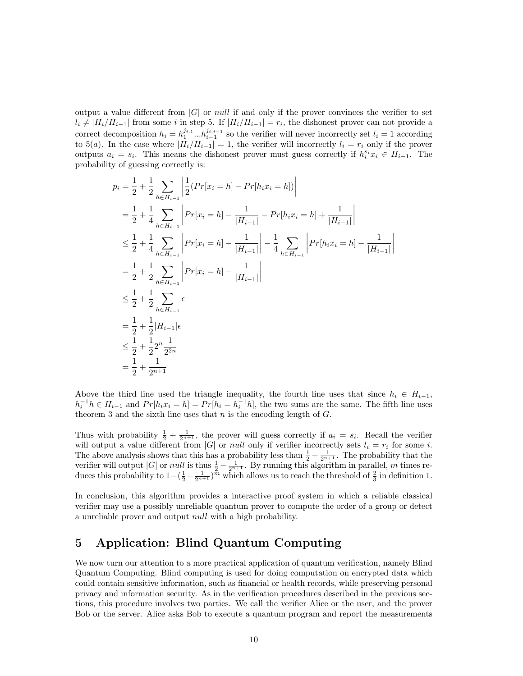output a value different from  $|G|$  or *null* if and only if the prover convinces the verifier to set  $l_i \neq |H_i/H_{i-1}|$  from some i in step 5. If  $|H_i/H_{i-1}| = r_i$ , the dishonest prover can not provide a correct decomposition  $h_i = h_1^{j_{i,1}}...h_{i-1}^{j_{i,i-1}}$  so the verifier will never incorrectly set  $l_i = 1$  according to 5(a). In the case where  $|H_i/H_{i-1}| = 1$ , the verifier will incorrectly  $l_i = r_i$  only if the prover outputs  $a_i = s_i$ . This means the dishonest prover must guess correctly if  $h_i^{s_i} x_i \in H_{i-1}$ . The probability of guessing correctly is:

$$
p_i = \frac{1}{2} + \frac{1}{2} \sum_{h \in H_{i-1}} \left| \frac{1}{2} (Pr[x_i = h] - Pr[h_i x_i = h]) \right|
$$
  
\n
$$
= \frac{1}{2} + \frac{1}{4} \sum_{h \in H_{i-1}} \left| Pr[x_i = h] - \frac{1}{|H_{i-1}|} - Pr[h_i x_i = h] + \frac{1}{|H_{i-1}|} \right|
$$
  
\n
$$
\leq \frac{1}{2} + \frac{1}{4} \sum_{h \in H_{i-1}} \left| Pr[x_i = h] - \frac{1}{|H_{i-1}|} - \frac{1}{4} \sum_{h \in H_{i-1}} \left| Pr[h_i x_i = h] - \frac{1}{|H_{i-1}|} \right|
$$
  
\n
$$
= \frac{1}{2} + \frac{1}{2} \sum_{h \in H_{i-1}} \left| Pr[x_i = h] - \frac{1}{|H_{i-1}|} \right|
$$
  
\n
$$
\leq \frac{1}{2} + \frac{1}{2} \sum_{h \in H_{i-1}} \epsilon
$$
  
\n
$$
= \frac{1}{2} + \frac{1}{2} |H_{i-1}| \epsilon
$$
  
\n
$$
\leq \frac{1}{2} + \frac{1}{2} 2^n \frac{1}{2^{2n}}
$$
  
\n
$$
= \frac{1}{2} + \frac{1}{2} n + \frac{1}{2} n + \frac{1}{2} n + \frac{1}{2} n + \frac{1}{2} n + \frac{1}{2} n + \frac{1}{2} n + \frac{1}{2} n + \frac{1}{2} n + \frac{1}{2} n + \frac{1}{2} n + \frac{1}{2} n + \frac{1}{2} n + \frac{1}{2} n + \frac{1}{2} n + \frac{1}{2} n + \frac{1}{2} n + \frac{1}{2} n + \frac{1}{2} n + \frac{1}{2} n + \frac{1}{2} n + \frac{1}{2} n + \frac{1}{2} n + \frac{1}{2} n + \frac{1}{2} n + \frac{1}{2} n + \frac{1}{2} n + \frac{1}{2} n + \frac{1}{2} n + \frac{1}{2} n + \frac{1}{2} n + \frac{1}{2} n + \frac{
$$

Above the third line used the triangle inequality, the fourth line uses that since  $h_i \in H_{i-1}$ ,  $h_i^{-1}h \in H_{i-1}$  and  $Pr[h_ix_i = h] = Pr[h_i = h_i^{-1}h]$ , the two sums are the same. The fifth line uses theorem 3 and the sixth line uses that  $n$  is the encoding length of  $G$ .

Thus with probability  $\frac{1}{2} + \frac{1}{2^{n+1}}$ , the prover will guess correctly if  $a_i = s_i$ . Recall the verifier will output a value different from  $|G|$  or *null* only if verifier incorrectly sets  $l_i = r_i$  for some i. The above analysis shows that this has a probability less than  $\frac{1}{2} + \frac{1}{2^{n+1}}$ . The probability that the verifier will output |G| or null is thus  $\frac{1}{2} - \frac{1}{2^{n+1}}$ . By running this algorithm in parallel, m times reduces this probability to  $1-(\frac{1}{2}+\frac{1}{2^{n+1}})^{\tilde{m}}$  which allows us to reach the threshold of  $\frac{2}{3}$  in definition 1.

In conclusion, this algorithm provides a interactive proof system in which a reliable classical verifier may use a possibly unreliable quantum prover to compute the order of a group or detect a unreliable prover and output null with a high probability.

## <span id="page-9-0"></span>5 Application: Blind Quantum Computing

We now turn our attention to a more practical application of quantum verification, namely Blind Quantum Computing. Blind computing is used for doing computation on encrypted data which could contain sensitive information, such as financial or health records, while preserving personal privacy and information security. As in the verification procedures described in the previous sections, this procedure involves two parties. We call the verifier Alice or the user, and the prover Bob or the server. Alice asks Bob to execute a quantum program and report the measurements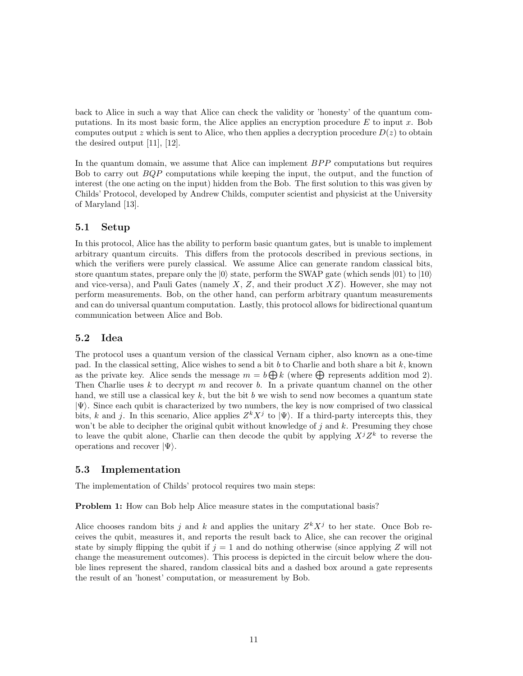back to Alice in such a way that Alice can check the validity or 'honesty' of the quantum computations. In its most basic form, the Alice applies an encryption procedure  $E$  to input  $x$ . Bob computes output z which is sent to Alice, who then applies a decryption procedure  $D(z)$  to obtain the desired output [\[11\]](#page-13-9), [\[12\]](#page-13-10).

In the quantum domain, we assume that Alice can implement  $BPP$  computations but requires Bob to carry out *BQP* computations while keeping the input, the output, and the function of interest (the one acting on the input) hidden from the Bob. The first solution to this was given by Childs' Protocol, developed by Andrew Childs, computer scientist and physicist at the University of Maryland [\[13\]](#page-13-11).

#### <span id="page-10-0"></span>5.1 Setup

In this protocol, Alice has the ability to perform basic quantum gates, but is unable to implement arbitrary quantum circuits. This differs from the protocols described in previous sections, in which the verifiers were purely classical. We assume Alice can generate random classical bits, store quantum states, prepare only the  $|0\rangle$  state, perform the SWAP gate (which sends  $|01\rangle$  to  $|10\rangle$ and vice-versa), and Pauli Gates (namely  $X, Z$ , and their product  $XZ$ ). However, she may not perform measurements. Bob, on the other hand, can perform arbitrary quantum measurements and can do universal quantum computation. Lastly, this protocol allows for bidirectional quantum communication between Alice and Bob.

#### <span id="page-10-1"></span>5.2 Idea

The protocol uses a quantum version of the classical Vernam cipher, also known as a one-time pad. In the classical setting, Alice wishes to send a bit b to Charlie and both share a bit k, known as the private key. Alice sends the message  $m = b \bigoplus k$  (where  $\bigoplus$  represents addition mod 2). Then Charlie uses  $k$  to decrypt  $m$  and recover  $b$ . In a private quantum channel on the other hand, we still use a classical key  $k$ , but the bit  $b$  we wish to send now becomes a quantum state  $|\Psi\rangle$ . Since each qubit is characterized by two numbers, the key is now comprised of two classical bits, k and j. In this scenario, Alice applies  $Z^{k}X^{j}$  to  $|\Psi\rangle$ . If a third-party intercepts this, they won't be able to decipher the original qubit without knowledge of  $j$  and  $k$ . Presuming they chose to leave the qubit alone, Charlie can then decode the qubit by applying  $X^{j}Z^{k}$  to reverse the operations and recover  $|\Psi\rangle$ .

#### <span id="page-10-2"></span>5.3 Implementation

The implementation of Childs' protocol requires two main steps:

Problem 1: How can Bob help Alice measure states in the computational basis?

Alice chooses random bits j and k and applies the unitary  $Z^{k}X^{j}$  to her state. Once Bob receives the qubit, measures it, and reports the result back to Alice, she can recover the original state by simply flipping the qubit if  $j = 1$  and do nothing otherwise (since applying Z will not change the measurement outcomes). This process is depicted in the circuit below where the double lines represent the shared, random classical bits and a dashed box around a gate represents the result of an 'honest' computation, or measurement by Bob.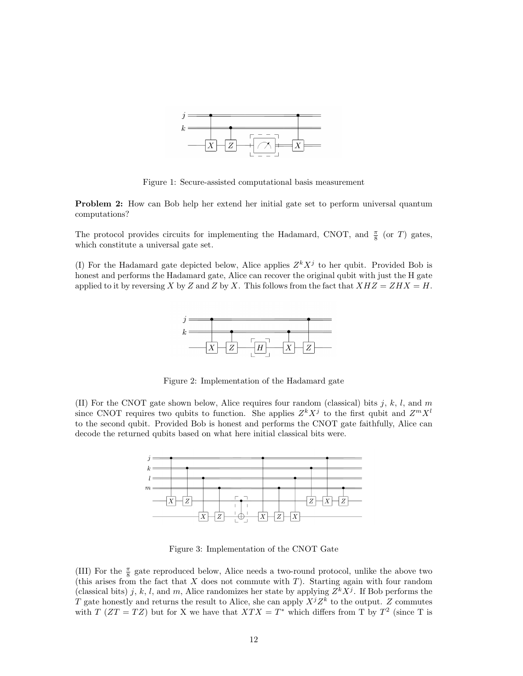

Figure 1: Secure-assisted computational basis measurement

Problem 2: How can Bob help her extend her initial gate set to perform universal quantum computations?

The protocol provides circuits for implementing the Hadamard, CNOT, and  $\frac{\pi}{8}$  (or T) gates, which constitute a universal gate set.

(I) For the Hadamard gate depicted below, Alice applies  $Z^{k}X^{j}$  to her qubit. Provided Bob is honest and performs the Hadamard gate, Alice can recover the original qubit with just the H gate applied to it by reversing X by Z and Z by X. This follows from the fact that  $XHZ = ZHX = H$ .



Figure 2: Implementation of the Hadamard gate

(II) For the CNOT gate shown below, Alice requires four random (classical) bits j, k, l, and m since CNOT requires two qubits to function. She applies  $Z^{k}X^{j}$  to the first qubit and  $Z^{m}X^{l}$ to the second qubit. Provided Bob is honest and performs the CNOT gate faithfully, Alice can decode the returned qubits based on what here initial classical bits were.



Figure 3: Implementation of the CNOT Gate

(III) For the  $\frac{\pi}{8}$  gate reproduced below, Alice needs a two-round protocol, unlike the above two (this arises from the fact that  $X$  does not commute with  $T$ ). Starting again with four random (classical bits) j, k, l, and m, Alice randomizes her state by applying  $Z^{k}X^{j}$ . If Bob performs the T gate honestly and returns the result to Alice, she can apply  $X^{j}Z^{k}$  to the output. Z commutes with  $T(ZT = TZ)$  but for X we have that  $XTX = T^*$  which differs from T by  $T^2$  (since T is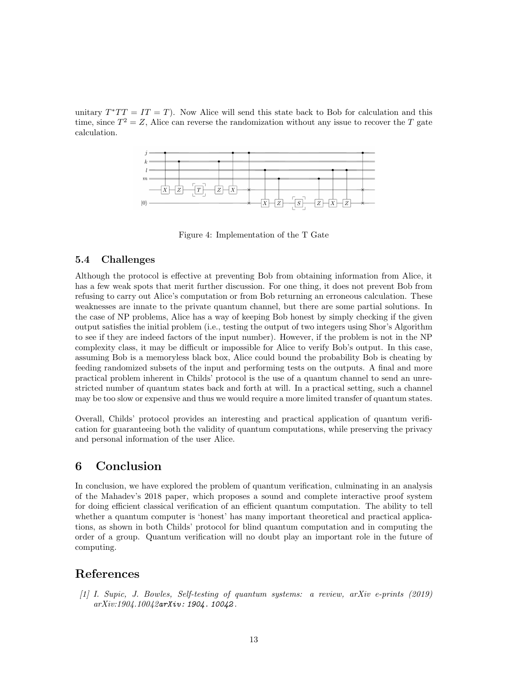unitary  $T^*TT = IT = T$ ). Now Alice will send this state back to Bob for calculation and this time, since  $T^2 = Z$ , Alice can reverse the randomization without any issue to recover the T gate calculation.



Figure 4: Implementation of the T Gate

#### <span id="page-12-0"></span>5.4 Challenges

Although the protocol is effective at preventing Bob from obtaining information from Alice, it has a few weak spots that merit further discussion. For one thing, it does not prevent Bob from refusing to carry out Alice's computation or from Bob returning an erroneous calculation. These weaknesses are innate to the private quantum channel, but there are some partial solutions. In the case of NP problems, Alice has a way of keeping Bob honest by simply checking if the given output satisfies the initial problem (i.e., testing the output of two integers using Shor's Algorithm to see if they are indeed factors of the input number). However, if the problem is not in the NP complexity class, it may be difficult or impossible for Alice to verify Bob's output. In this case, assuming Bob is a memoryless black box, Alice could bound the probability Bob is cheating by feeding randomized subsets of the input and performing tests on the outputs. A final and more practical problem inherent in Childs' protocol is the use of a quantum channel to send an unrestricted number of quantum states back and forth at will. In a practical setting, such a channel may be too slow or expensive and thus we would require a more limited transfer of quantum states.

Overall, Childs' protocol provides an interesting and practical application of quantum verification for guaranteeing both the validity of quantum computations, while preserving the privacy and personal information of the user Alice.

## <span id="page-12-1"></span>6 Conclusion

In conclusion, we have explored the problem of quantum verification, culminating in an analysis of the Mahadev's 2018 paper, which proposes a sound and complete interactive proof system for doing efficient classical verification of an efficient quantum computation. The ability to tell whether a quantum computer is 'honest' has many important theoretical and practical applications, as shown in both Childs' protocol for blind quantum computation and in computing the order of a group. Quantum verification will no doubt play an important role in the future of computing.

## References

<span id="page-12-2"></span>[1] I. Supic, J. Bowles, Self-testing of quantum systems: a review, arXiv e-prints (2019) arXiv:1904.10042[arXiv: 1904. 10042](http://arxiv.org/abs/1904.10042) .